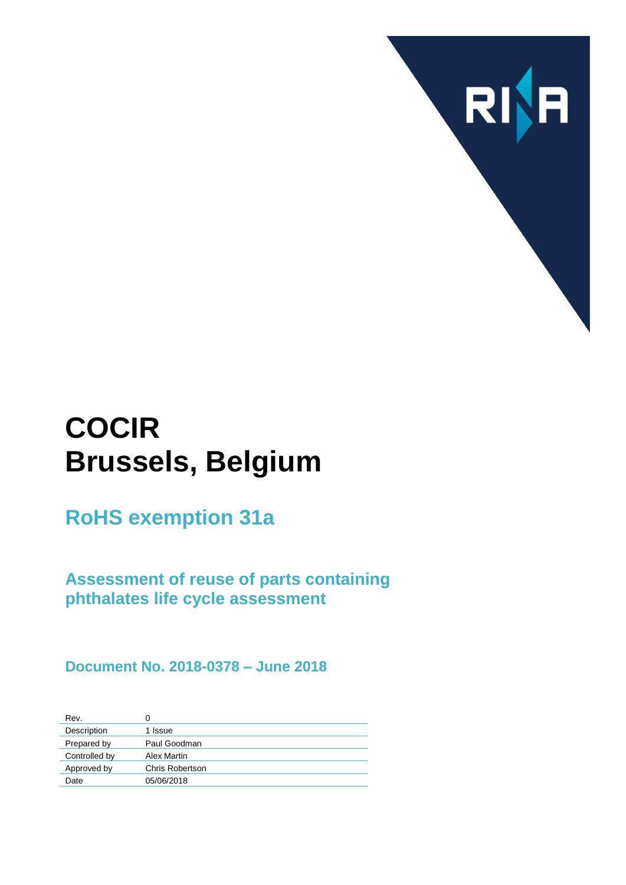

# **COCIR Brussels, Belgium**

**RoHS exemption 31a**

**Assessment of reuse of parts containing phthalates life cycle assessment**

**Document No. 2018-0378 – June 2018**

| Rev.          | 0               |
|---------------|-----------------|
| Description   | 1 Issue         |
| Prepared by   | Paul Goodman    |
| Controlled by | Alex Martin     |
| Approved by   | Chris Robertson |
| Date          | 05/06/2018      |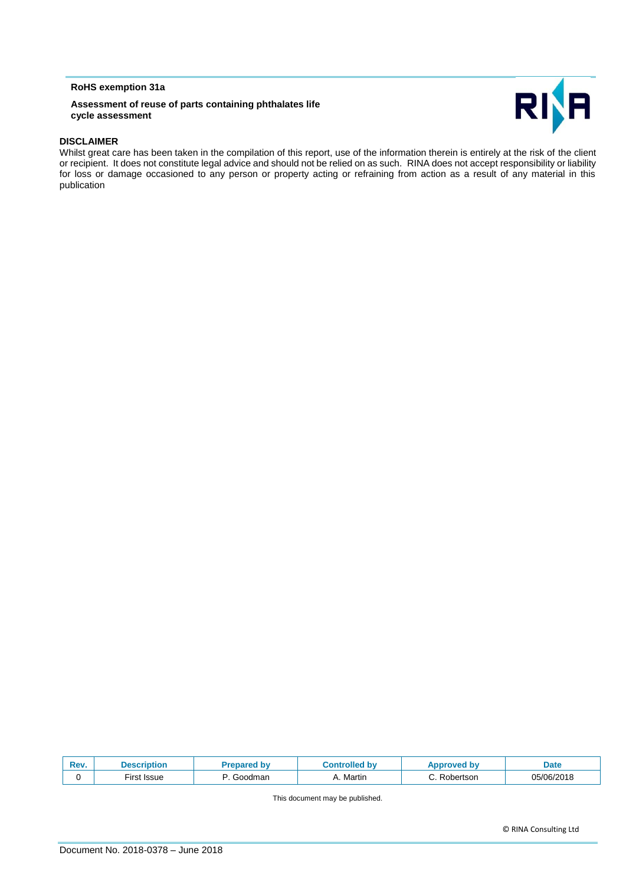#### **RoHS exemption 31a**

#### **Assessment of reuse of parts containing phthalates life cycle assessment**



#### **DISCLAIMER**

Whilst great care has been taken in the compilation of this report, use of the information therein is entirely at the risk of the client or recipient. It does not constitute legal advice and should not be relied on as such. RINA does not accept responsibility or liability for loss or damage occasioned to any person or property acting or refraining from action as a result of any material in this publication

| Rev. | Description          | i bv                | olled<br>ЮV | oproved by     | Date       |
|------|----------------------|---------------------|-------------|----------------|------------|
|      | Issue<br>rirst.<br>. | Goodman<br>. .<br>. | A. Martin   | Robertson<br>. | 05/06/2018 |

This document may be published.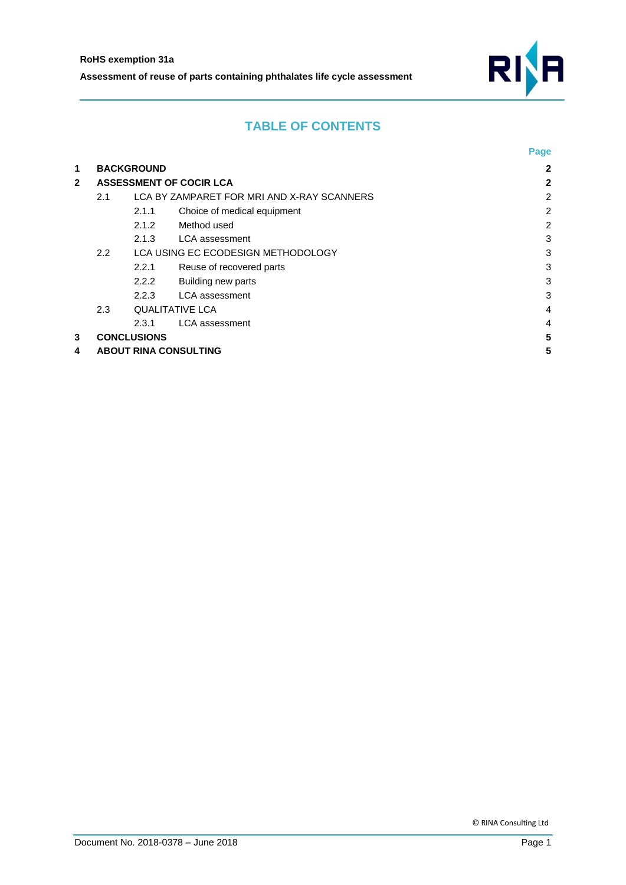

## **TABLE OF CONTENTS**

|              |                                                   |                                    |                             | Page           |
|--------------|---------------------------------------------------|------------------------------------|-----------------------------|----------------|
| 1            | <b>BACKGROUND</b>                                 | $\mathbf{2}$                       |                             |                |
| $\mathbf{2}$ | <b>ASSESSMENT OF COCIR LCA</b>                    |                                    |                             | 2              |
|              | LCA BY ZAMPARET FOR MRI AND X-RAY SCANNERS<br>2.1 |                                    |                             | $\overline{2}$ |
|              |                                                   | 2.1.1                              | Choice of medical equipment | $\overline{2}$ |
|              |                                                   | 2.1.2                              | Method used                 | 2              |
|              |                                                   | 2.1.3                              | <b>LCA</b> assessment       | 3              |
|              | $2.2^{\circ}$                                     | LCA USING EC ECODESIGN METHODOLOGY |                             | 3              |
|              |                                                   | 2.2.1                              | Reuse of recovered parts    | 3              |
|              |                                                   | 2.2.2                              | Building new parts          | 3              |
|              |                                                   | 2.2.3                              | <b>LCA</b> assessment       | 3              |
|              | 2.3<br><b>QUALITATIVE LCA</b>                     |                                    | $\overline{4}$              |                |
|              |                                                   | 2.3.1                              | <b>LCA</b> assessment       | 4              |
| 3            | <b>CONCLUSIONS</b>                                |                                    |                             | 5              |
| 4            | <b>ABOUT RINA CONSULTING</b>                      |                                    |                             |                |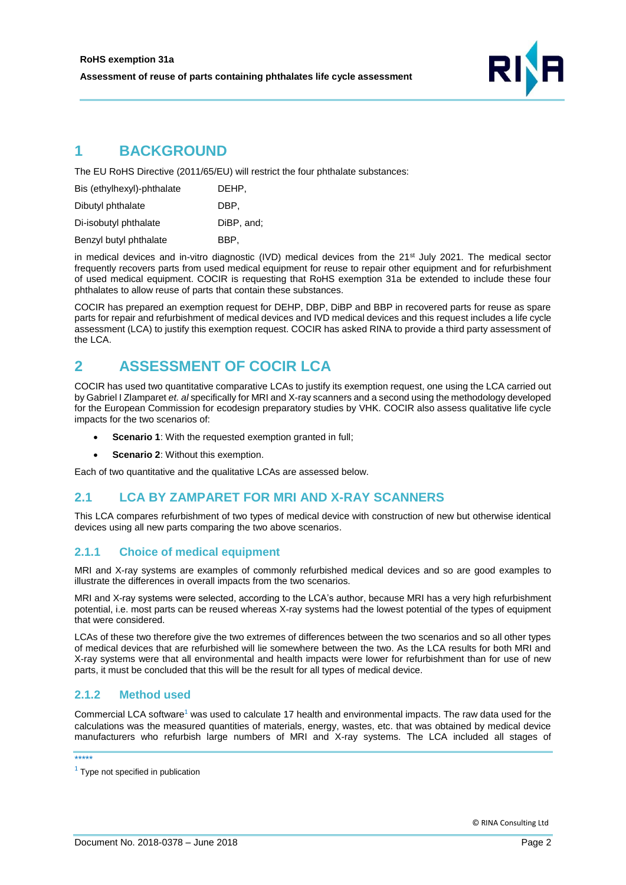

## <span id="page-3-0"></span>**1 BACKGROUND**

The EU RoHS Directive (2011/65/EU) will restrict the four phthalate substances:

| Bis (ethylhexyl)-phthalate | DEHP.      |
|----------------------------|------------|
| Dibutyl phthalate          | DBP.       |
| Di-isobutyl phthalate      | DiBP, and: |
| Benzyl butyl phthalate     | BBP.       |

in medical devices and in-vitro diagnostic (IVD) medical devices from the 21<sup>st</sup> July 2021. The medical sector frequently recovers parts from used medical equipment for reuse to repair other equipment and for refurbishment of used medical equipment. COCIR is requesting that RoHS exemption 31a be extended to include these four phthalates to allow reuse of parts that contain these substances.

COCIR has prepared an exemption request for DEHP, DBP, DiBP and BBP in recovered parts for reuse as spare parts for repair and refurbishment of medical devices and IVD medical devices and this request includes a life cycle assessment (LCA) to justify this exemption request. COCIR has asked RINA to provide a third party assessment of the LCA.

## <span id="page-3-1"></span>**2 ASSESSMENT OF COCIR LCA**

COCIR has used two quantitative comparative LCAs to justify its exemption request, one using the LCA carried out by Gabriel I Zlamparet *et. al* specifically for MRI and X-ray scanners and a second using the methodology developed for the European Commission for ecodesign preparatory studies by VHK. COCIR also assess qualitative life cycle impacts for the two scenarios of:

- **Scenario 1:** With the requested exemption granted in full;
- **Scenario 2**: Without this exemption.

Each of two quantitative and the qualitative LCAs are assessed below.

## <span id="page-3-2"></span>**2.1 LCA BY ZAMPARET FOR MRI AND X-RAY SCANNERS**

This LCA compares refurbishment of two types of medical device with construction of new but otherwise identical devices using all new parts comparing the two above scenarios.

#### <span id="page-3-3"></span>**2.1.1 Choice of medical equipment**

MRI and X-ray systems are examples of commonly refurbished medical devices and so are good examples to illustrate the differences in overall impacts from the two scenarios.

MRI and X-ray systems were selected, according to the LCA's author, because MRI has a very high refurbishment potential, i.e. most parts can be reused whereas X-ray systems had the lowest potential of the types of equipment that were considered.

LCAs of these two therefore give the two extremes of differences between the two scenarios and so all other types of medical devices that are refurbished will lie somewhere between the two. As the LCA results for both MRI and X-ray systems were that all environmental and health impacts were lower for refurbishment than for use of new parts, it must be concluded that this will be the result for all types of medical device.

#### <span id="page-3-4"></span>**2.1.2 Method used**

Commercial LCA software<sup>1</sup> was used to calculate 17 health and environmental impacts. The raw data used for the calculations was the measured quantities of materials, energy, wastes, etc. that was obtained by medical device manufacturers who refurbish large numbers of MRI and X-ray systems. The LCA included all stages of

\*\*\*\*\*

 $1$  Type not specified in publication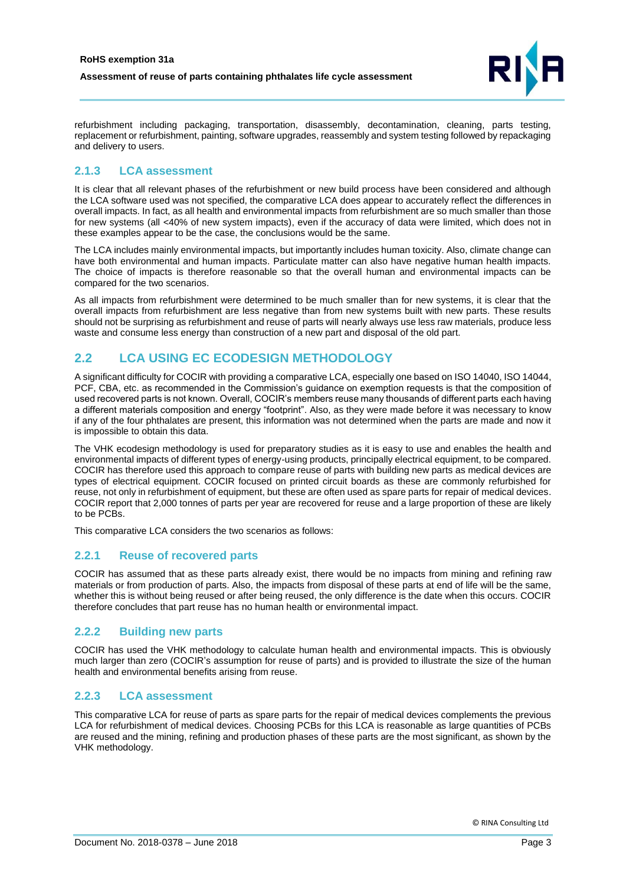

refurbishment including packaging, transportation, disassembly, decontamination, cleaning, parts testing, replacement or refurbishment, painting, software upgrades, reassembly and system testing followed by repackaging and delivery to users.

#### <span id="page-4-0"></span>**2.1.3 LCA assessment**

It is clear that all relevant phases of the refurbishment or new build process have been considered and although the LCA software used was not specified, the comparative LCA does appear to accurately reflect the differences in overall impacts. In fact, as all health and environmental impacts from refurbishment are so much smaller than those for new systems (all <40% of new system impacts), even if the accuracy of data were limited, which does not in these examples appear to be the case, the conclusions would be the same.

The LCA includes mainly environmental impacts, but importantly includes human toxicity. Also, climate change can have both environmental and human impacts. Particulate matter can also have negative human health impacts. The choice of impacts is therefore reasonable so that the overall human and environmental impacts can be compared for the two scenarios.

As all impacts from refurbishment were determined to be much smaller than for new systems, it is clear that the overall impacts from refurbishment are less negative than from new systems built with new parts. These results should not be surprising as refurbishment and reuse of parts will nearly always use less raw materials, produce less waste and consume less energy than construction of a new part and disposal of the old part.

## <span id="page-4-1"></span>**2.2 LCA USING EC ECODESIGN METHODOLOGY**

A significant difficulty for COCIR with providing a comparative LCA, especially one based on ISO 14040, ISO 14044, PCF, CBA, etc. as recommended in the Commission's guidance on exemption requests is that the composition of used recovered parts is not known. Overall, COCIR's members reuse many thousands of different parts each having a different materials composition and energy "footprint". Also, as they were made before it was necessary to know if any of the four phthalates are present, this information was not determined when the parts are made and now it is impossible to obtain this data.

The VHK ecodesign methodology is used for preparatory studies as it is easy to use and enables the health and environmental impacts of different types of energy-using products, principally electrical equipment, to be compared. COCIR has therefore used this approach to compare reuse of parts with building new parts as medical devices are types of electrical equipment. COCIR focused on printed circuit boards as these are commonly refurbished for reuse, not only in refurbishment of equipment, but these are often used as spare parts for repair of medical devices. COCIR report that 2,000 tonnes of parts per year are recovered for reuse and a large proportion of these are likely to be PCBs.

This comparative LCA considers the two scenarios as follows:

#### <span id="page-4-2"></span>**2.2.1 Reuse of recovered parts**

COCIR has assumed that as these parts already exist, there would be no impacts from mining and refining raw materials or from production of parts. Also, the impacts from disposal of these parts at end of life will be the same, whether this is without being reused or after being reused, the only difference is the date when this occurs. COCIR therefore concludes that part reuse has no human health or environmental impact.

#### <span id="page-4-3"></span>**2.2.2 Building new parts**

COCIR has used the VHK methodology to calculate human health and environmental impacts. This is obviously much larger than zero (COCIR's assumption for reuse of parts) and is provided to illustrate the size of the human health and environmental benefits arising from reuse.

#### <span id="page-4-4"></span>**2.2.3 LCA assessment**

This comparative LCA for reuse of parts as spare parts for the repair of medical devices complements the previous LCA for refurbishment of medical devices. Choosing PCBs for this LCA is reasonable as large quantities of PCBs are reused and the mining, refining and production phases of these parts are the most significant, as shown by the VHK methodology.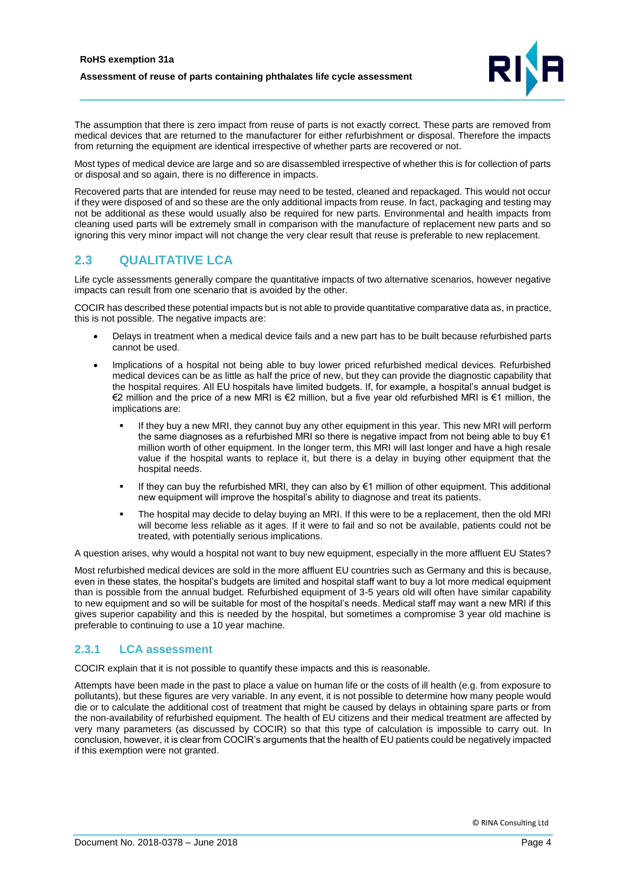

The assumption that there is zero impact from reuse of parts is not exactly correct. These parts are removed from medical devices that are returned to the manufacturer for either refurbishment or disposal. Therefore the impacts from returning the equipment are identical irrespective of whether parts are recovered or not.

Most types of medical device are large and so are disassembled irrespective of whether this is for collection of parts or disposal and so again, there is no difference in impacts.

Recovered parts that are intended for reuse may need to be tested, cleaned and repackaged. This would not occur if they were disposed of and so these are the only additional impacts from reuse. In fact, packaging and testing may not be additional as these would usually also be required for new parts. Environmental and health impacts from cleaning used parts will be extremely small in comparison with the manufacture of replacement new parts and so ignoring this very minor impact will not change the very clear result that reuse is preferable to new replacement.

## <span id="page-5-0"></span>**2.3 QUALITATIVE LCA**

Life cycle assessments generally compare the quantitative impacts of two alternative scenarios, however negative impacts can result from one scenario that is avoided by the other.

COCIR has described these potential impacts but is not able to provide quantitative comparative data as, in practice, this is not possible. The negative impacts are:

- Delays in treatment when a medical device fails and a new part has to be built because refurbished parts cannot be used.
- Implications of a hospital not being able to buy lower priced refurbished medical devices. Refurbished medical devices can be as little as half the price of new, but they can provide the diagnostic capability that the hospital requires. All EU hospitals have limited budgets. If, for example, a hospital's annual budget is €2 million and the price of a new MRI is €2 million, but a five year old refurbished MRI is €1 million, the implications are:
	- If they buy a new MRI, they cannot buy any other equipment in this year. This new MRI will perform the same diagnoses as a refurbished MRI so there is negative impact from not being able to buy  $\epsilon$ 1 million worth of other equipment. In the longer term, this MRI will last longer and have a high resale value if the hospital wants to replace it, but there is a delay in buying other equipment that the hospital needs.
	- If they can buy the refurbished MRI, they can also by €1 million of other equipment. This additional new equipment will improve the hospital's ability to diagnose and treat its patients.
	- The hospital may decide to delay buying an MRI. If this were to be a replacement, then the old MRI will become less reliable as it ages. If it were to fail and so not be available, patients could not be treated, with potentially serious implications.

A question arises, why would a hospital not want to buy new equipment, especially in the more affluent EU States?

Most refurbished medical devices are sold in the more affluent EU countries such as Germany and this is because, even in these states, the hospital's budgets are limited and hospital staff want to buy a lot more medical equipment than is possible from the annual budget. Refurbished equipment of 3-5 years old will often have similar capability to new equipment and so will be suitable for most of the hospital's needs. Medical staff may want a new MRI if this gives superior capability and this is needed by the hospital, but sometimes a compromise 3 year old machine is preferable to continuing to use a 10 year machine.

#### <span id="page-5-1"></span>**2.3.1 LCA assessment**

COCIR explain that it is not possible to quantify these impacts and this is reasonable.

Attempts have been made in the past to place a value on human life or the costs of ill health (e.g. from exposure to pollutants), but these figures are very variable. In any event, it is not possible to determine how many people would die or to calculate the additional cost of treatment that might be caused by delays in obtaining spare parts or from the non-availability of refurbished equipment. The health of EU citizens and their medical treatment are affected by very many parameters (as discussed by COCIR) so that this type of calculation is impossible to carry out. In conclusion, however, it is clear from COCIR's arguments that the health of EU patients could be negatively impacted if this exemption were not granted.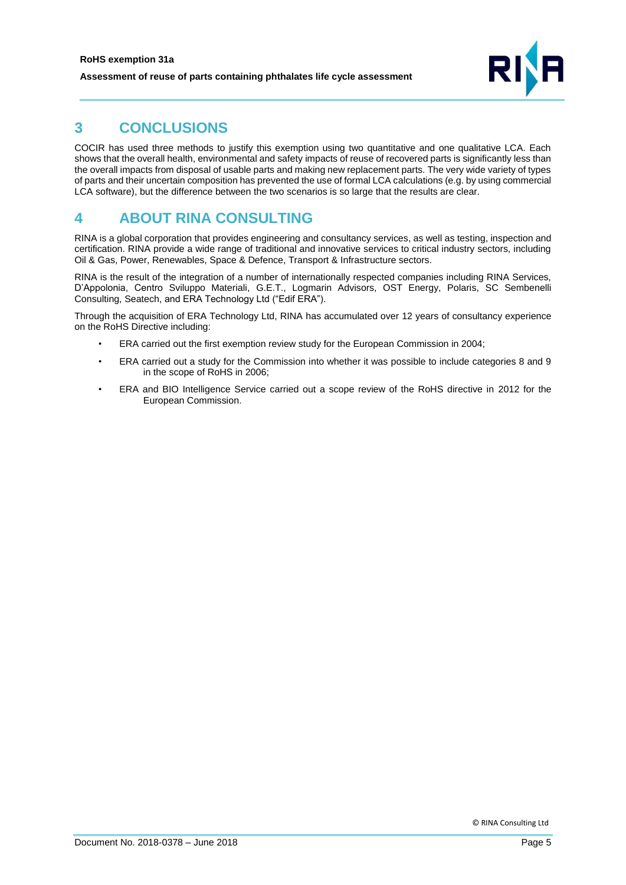

# <span id="page-6-0"></span>**3 CONCLUSIONS**

COCIR has used three methods to justify this exemption using two quantitative and one qualitative LCA. Each shows that the overall health, environmental and safety impacts of reuse of recovered parts is significantly less than the overall impacts from disposal of usable parts and making new replacement parts. The very wide variety of types of parts and their uncertain composition has prevented the use of formal LCA calculations (e.g. by using commercial LCA software), but the difference between the two scenarios is so large that the results are clear.

## <span id="page-6-1"></span>**4 ABOUT RINA CONSULTING**

RINA is a global corporation that provides engineering and consultancy services, as well as testing, inspection and certification. RINA provide a wide range of traditional and innovative services to critical industry sectors, including Oil & Gas, Power, Renewables, Space & Defence, Transport & Infrastructure sectors.

RINA is the result of the integration of a number of internationally respected companies including RINA Services, D'Appolonia, Centro Sviluppo Materiali, G.E.T., Logmarin Advisors, OST Energy, Polaris, SC Sembenelli Consulting, Seatech, and ERA Technology Ltd ("Edif ERA").

Through the acquisition of ERA Technology Ltd, RINA has accumulated over 12 years of consultancy experience on the RoHS Directive including:

- ERA carried out the first exemption review study for the European Commission in 2004;
- ERA carried out a study for the Commission into whether it was possible to include categories 8 and 9 in the scope of RoHS in 2006;
- ERA and BIO Intelligence Service carried out a scope review of the RoHS directive in 2012 for the European Commission.